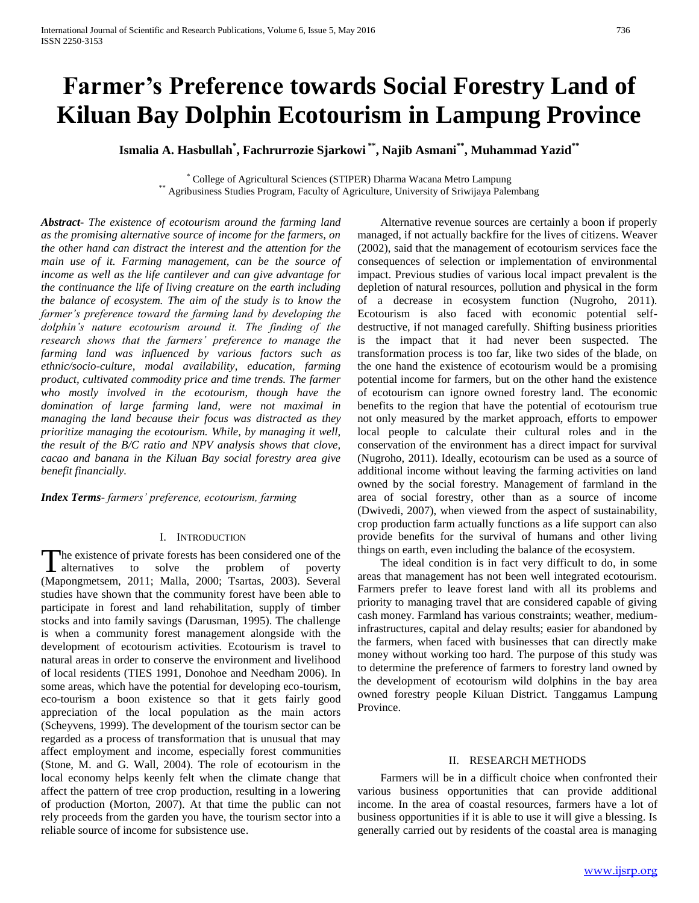# **Farmer's Preference towards Social Forestry Land of Kiluan Bay Dolphin Ecotourism in Lampung Province**

**Ismalia A. Hasbullah\* , Fachrurrozie Sjarkowi \*\*, Najib Asmani\*\*, Muhammad Yazid\*\***

\* College of Agricultural Sciences (STIPER) Dharma Wacana Metro Lampung \*\* Agribusiness Studies Program, Faculty of Agriculture, University of Sriwijaya Palembang

*Abstract***-** *The existence of ecotourism around the farming land as the promising alternative source of income for the farmers, on the other hand can distract the interest and the attention for the main use of it. Farming management, can be the source of income as well as the life cantilever and can give advantage for the continuance the life of living creature on the earth including the balance of ecosystem. The aim of the study is to know the farmer's preference toward the farming land by developing the dolphin's nature ecotourism around it. The finding of the research shows that the farmers' preference to manage the farming land was influenced by various factors such as ethnic/socio-culture, modal availability, education, farming product, cultivated commodity price and time trends. The farmer who mostly involved in the ecotourism, though have the domination of large farming land, were not maximal in managing the land because their focus was distracted as they prioritize managing the ecotourism. While, by managing it well, the result of the B/C ratio and NPV analysis shows that clove, cacao and banana in the Kiluan Bay social forestry area give benefit financially.*

*Index Terms*- *farmers' preference, ecotourism, farming*

# I. INTRODUCTION

The existence of private forests has been considered one of the The existence of private forests has been considered one of the alternatives to solve the problem of poverty (Mapongmetsem, 2011; Malla, 2000; Tsartas, 2003). Several studies have shown that the community forest have been able to participate in forest and land rehabilitation, supply of timber stocks and into family savings (Darusman, 1995). The challenge is when a community forest management alongside with the development of ecotourism activities. Ecotourism is travel to natural areas in order to conserve the environment and livelihood of local residents (TIES 1991, Donohoe and Needham 2006). In some areas, which have the potential for developing eco-tourism, eco-tourism a boon existence so that it gets fairly good appreciation of the local population as the main actors (Scheyvens, 1999). The development of the tourism sector can be regarded as a process of transformation that is unusual that may affect employment and income, especially forest communities (Stone, M. and G. Wall, 2004). The role of ecotourism in the local economy helps keenly felt when the climate change that affect the pattern of tree crop production, resulting in a lowering of production (Morton, 2007). At that time the public can not rely proceeds from the garden you have, the tourism sector into a reliable source of income for subsistence use.

 Alternative revenue sources are certainly a boon if properly managed, if not actually backfire for the lives of citizens. Weaver (2002), said that the management of ecotourism services face the consequences of selection or implementation of environmental impact. Previous studies of various local impact prevalent is the depletion of natural resources, pollution and physical in the form of a decrease in ecosystem function (Nugroho, 2011). Ecotourism is also faced with economic potential selfdestructive, if not managed carefully. Shifting business priorities is the impact that it had never been suspected. The transformation process is too far, like two sides of the blade, on the one hand the existence of ecotourism would be a promising potential income for farmers, but on the other hand the existence of ecotourism can ignore owned forestry land. The economic benefits to the region that have the potential of ecotourism true not only measured by the market approach, efforts to empower local people to calculate their cultural roles and in the conservation of the environment has a direct impact for survival (Nugroho, 2011). Ideally, ecotourism can be used as a source of additional income without leaving the farming activities on land owned by the social forestry. Management of farmland in the area of social forestry, other than as a source of income (Dwivedi, 2007), when viewed from the aspect of sustainability, crop production farm actually functions as a life support can also provide benefits for the survival of humans and other living things on earth, even including the balance of the ecosystem.

 The ideal condition is in fact very difficult to do, in some areas that management has not been well integrated ecotourism. Farmers prefer to leave forest land with all its problems and priority to managing travel that are considered capable of giving cash money. Farmland has various constraints; weather, mediuminfrastructures, capital and delay results; easier for abandoned by the farmers, when faced with businesses that can directly make money without working too hard. The purpose of this study was to determine the preference of farmers to forestry land owned by the development of ecotourism wild dolphins in the bay area owned forestry people Kiluan District. Tanggamus Lampung Province.

#### II. RESEARCH METHODS

 Farmers will be in a difficult choice when confronted their various business opportunities that can provide additional income. In the area of coastal resources, farmers have a lot of business opportunities if it is able to use it will give a blessing. Is generally carried out by residents of the coastal area is managing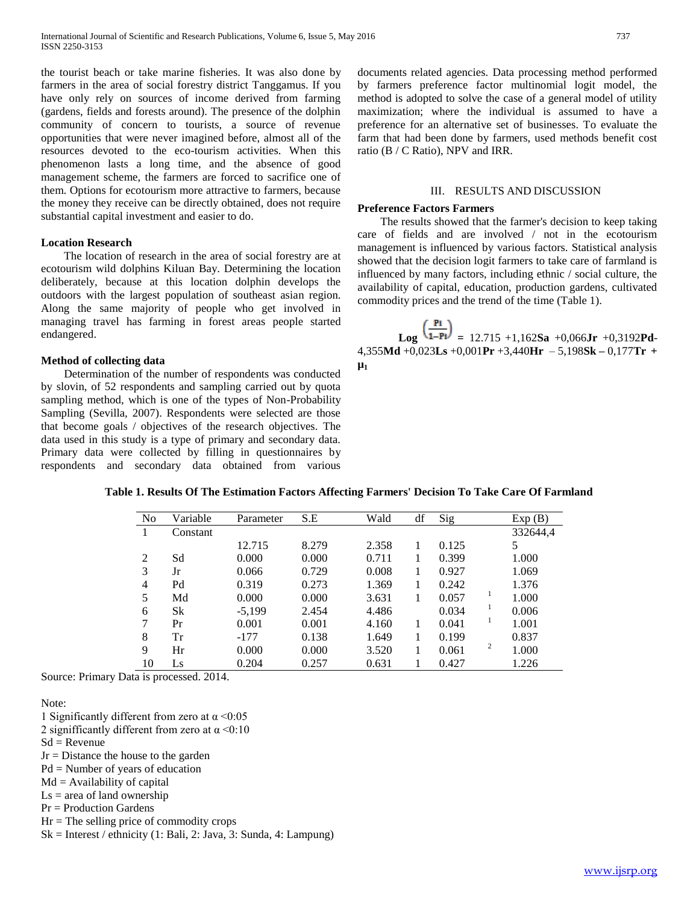the tourist beach or take marine fisheries. It was also done by farmers in the area of social forestry district Tanggamus. If you have only rely on sources of income derived from farming (gardens, fields and forests around). The presence of the dolphin community of concern to tourists, a source of revenue opportunities that were never imagined before, almost all of the resources devoted to the eco-tourism activities. When this phenomenon lasts a long time, and the absence of good management scheme, the farmers are forced to sacrifice one of them. Options for ecotourism more attractive to farmers, because the money they receive can be directly obtained, does not require substantial capital investment and easier to do.

## **Location Research**

 The location of research in the area of social forestry are at ecotourism wild dolphins Kiluan Bay. Determining the location deliberately, because at this location dolphin develops the outdoors with the largest population of southeast asian region. Along the same majority of people who get involved in managing travel has farming in forest areas people started endangered.

## **Method of collecting data**

 Determination of the number of respondents was conducted by slovin, of 52 respondents and sampling carried out by quota sampling method, which is one of the types of Non-Probability Sampling (Sevilla, 2007). Respondents were selected are those that become goals / objectives of the research objectives. The data used in this study is a type of primary and secondary data. Primary data were collected by filling in questionnaires by respondents and secondary data obtained from various documents related agencies. Data processing method performed by farmers preference factor multinomial logit model, the method is adopted to solve the case of a general model of utility maximization; where the individual is assumed to have a preference for an alternative set of businesses. To evaluate the farm that had been done by farmers, used methods benefit cost ratio (B / C Ratio), NPV and IRR.

# III. RESULTS AND DISCUSSION

#### **Preference Factors Farmers**

 The results showed that the farmer's decision to keep taking care of fields and are involved / not in the ecotourism management is influenced by various factors. Statistical analysis showed that the decision logit farmers to take care of farmland is influenced by many factors, including ethnic / social culture, the availability of capital, education, production gardens, cultivated commodity prices and the trend of the time (Table 1).

 $\text{Log } \text{M-PI} = 12.715 + 1,162\text{Sa} + 0,066\text{Jr} + 0,3192\text{Pd}$ 4,355**Md** +0,023**Ls** +0,001**Pr** +3,440**Hr** – 5,198**Sk –** 0,177**Tr + µ1**

| N <sub>0</sub> | Variable | Parameter | S.E   | Wald  | df | Sig   |   | Exp(B)   |
|----------------|----------|-----------|-------|-------|----|-------|---|----------|
|                | Constant |           |       |       |    |       |   | 332644,4 |
|                |          | 12.715    | 8.279 | 2.358 |    | 0.125 |   | 5        |
| 2              | Sd       | 0.000     | 0.000 | 0.711 |    | 0.399 |   | 1.000    |
| 3              | Jr       | 0.066     | 0.729 | 0.008 |    | 0.927 |   | 1.069    |
| 4              | Pd       | 0.319     | 0.273 | 1.369 |    | 0.242 |   | 1.376    |
| 5              | Md       | 0.000     | 0.000 | 3.631 |    | 0.057 | 1 | 1.000    |
| 6              | Sk       | $-5,199$  | 2.454 | 4.486 |    | 0.034 |   | 0.006    |
| 7              | Pr       | 0.001     | 0.001 | 4.160 |    | 0.041 |   | 1.001    |
| 8              | Tr       | $-177$    | 0.138 | 1.649 |    | 0.199 |   | 0.837    |
| 9              | Hr       | 0.000     | 0.000 | 3.520 |    | 0.061 | 2 | 1.000    |
| 10             | Ls       | 0.204     | 0.257 | 0.631 |    | 0.427 |   | 1.226    |

Source: Primary Data is processed. 2014.

Note:

- 1 Significantly different from zero at  $\alpha$  <0:05
- 2 signifficantly different from zero at  $\alpha$  <0:10
- $Sd =$ Revenue
- Jr = Distance the house to the garden
- Pd = Number of years of education
- $Md =$  Availability of capital
- $Ls = area of land ownership$
- Pr = Production Gardens
- $Hr = The selling price of commodity crops$
- Sk = Interest / ethnicity (1: Bali, 2: Java, 3: Sunda, 4: Lampung)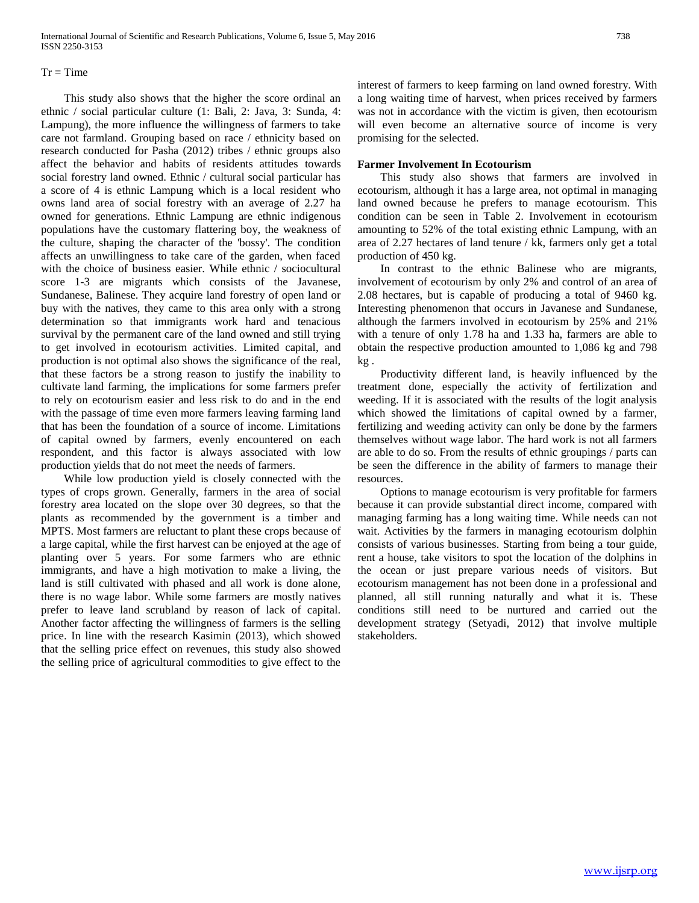## $Tr = Time$

 This study also shows that the higher the score ordinal an ethnic / social particular culture (1: Bali, 2: Java, 3: Sunda, 4: Lampung), the more influence the willingness of farmers to take care not farmland. Grouping based on race / ethnicity based on research conducted for Pasha (2012) tribes / ethnic groups also affect the behavior and habits of residents attitudes towards social forestry land owned. Ethnic / cultural social particular has a score of 4 is ethnic Lampung which is a local resident who owns land area of social forestry with an average of 2.27 ha owned for generations. Ethnic Lampung are ethnic indigenous populations have the customary flattering boy, the weakness of the culture, shaping the character of the 'bossy'. The condition affects an unwillingness to take care of the garden, when faced with the choice of business easier. While ethnic / sociocultural score 1-3 are migrants which consists of the Javanese, Sundanese, Balinese. They acquire land forestry of open land or buy with the natives, they came to this area only with a strong determination so that immigrants work hard and tenacious survival by the permanent care of the land owned and still trying to get involved in ecotourism activities. Limited capital, and production is not optimal also shows the significance of the real, that these factors be a strong reason to justify the inability to cultivate land farming, the implications for some farmers prefer to rely on ecotourism easier and less risk to do and in the end with the passage of time even more farmers leaving farming land that has been the foundation of a source of income. Limitations of capital owned by farmers, evenly encountered on each respondent, and this factor is always associated with low production yields that do not meet the needs of farmers.

 While low production yield is closely connected with the types of crops grown. Generally, farmers in the area of social forestry area located on the slope over 30 degrees, so that the plants as recommended by the government is a timber and MPTS. Most farmers are reluctant to plant these crops because of a large capital, while the first harvest can be enjoyed at the age of planting over 5 years. For some farmers who are ethnic immigrants, and have a high motivation to make a living, the land is still cultivated with phased and all work is done alone, there is no wage labor. While some farmers are mostly natives prefer to leave land scrubland by reason of lack of capital. Another factor affecting the willingness of farmers is the selling price. In line with the research Kasimin (2013), which showed that the selling price effect on revenues, this study also showed the selling price of agricultural commodities to give effect to the

#### **Farmer Involvement In Ecotourism**

promising for the selected.

 This study also shows that farmers are involved in ecotourism, although it has a large area, not optimal in managing land owned because he prefers to manage ecotourism. This condition can be seen in Table 2. Involvement in ecotourism amounting to 52% of the total existing ethnic Lampung, with an area of 2.27 hectares of land tenure / kk, farmers only get a total production of 450 kg.

will even become an alternative source of income is very

 In contrast to the ethnic Balinese who are migrants, involvement of ecotourism by only 2% and control of an area of 2.08 hectares, but is capable of producing a total of 9460 kg. Interesting phenomenon that occurs in Javanese and Sundanese, although the farmers involved in ecotourism by 25% and 21% with a tenure of only 1.78 ha and 1.33 ha, farmers are able to obtain the respective production amounted to 1,086 kg and 798 kg .

 Productivity different land, is heavily influenced by the treatment done, especially the activity of fertilization and weeding. If it is associated with the results of the logit analysis which showed the limitations of capital owned by a farmer, fertilizing and weeding activity can only be done by the farmers themselves without wage labor. The hard work is not all farmers are able to do so. From the results of ethnic groupings / parts can be seen the difference in the ability of farmers to manage their resources.

 Options to manage ecotourism is very profitable for farmers because it can provide substantial direct income, compared with managing farming has a long waiting time. While needs can not wait. Activities by the farmers in managing ecotourism dolphin consists of various businesses. Starting from being a tour guide, rent a house, take visitors to spot the location of the dolphins in the ocean or just prepare various needs of visitors. But ecotourism management has not been done in a professional and planned, all still running naturally and what it is. These conditions still need to be nurtured and carried out the development strategy (Setyadi, 2012) that involve multiple stakeholders.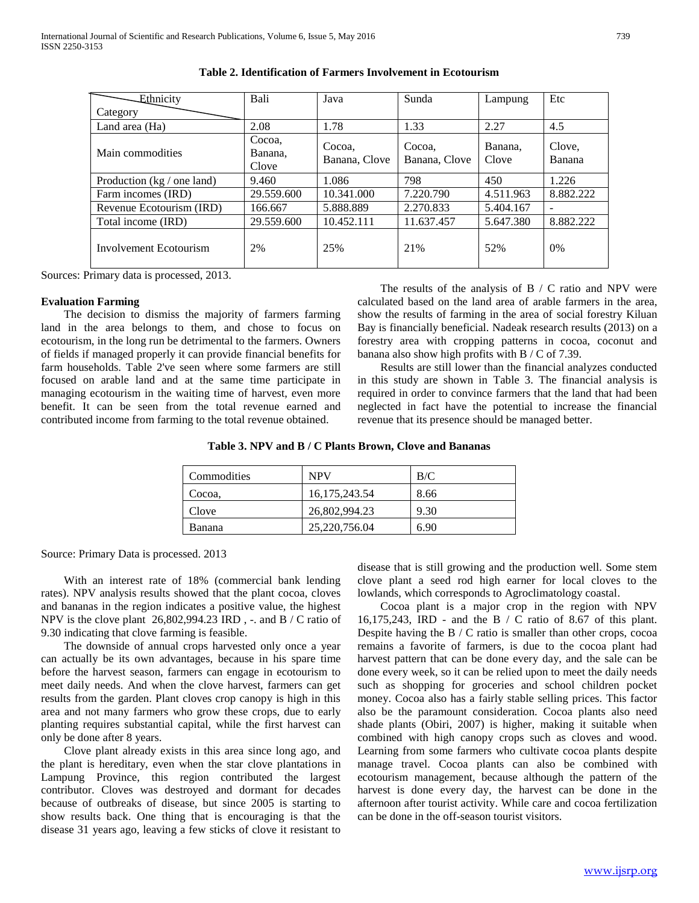| Ethnicity                  | Bali                       | Java                    | Sunda                   | Lampung          | Etc                      |
|----------------------------|----------------------------|-------------------------|-------------------------|------------------|--------------------------|
| Category                   |                            |                         |                         |                  |                          |
| Land area (Ha)             | 2.08                       | 1.78                    | 1.33                    | 2.27             | 4.5                      |
| Main commodities           | Cocoa,<br>Banana,<br>Clove | Cocoa,<br>Banana, Clove | Cocoa,<br>Banana, Clove | Banana.<br>Clove | Clove,<br>Banana         |
| Production (kg / one land) | 9.460                      | 1.086                   | 798                     | 450              | 1.226                    |
| Farm incomes (IRD)         | 29.559.600                 | 10.341.000              | 7.220.790               | 4.511.963        | 8.882.222                |
| Revenue Ecotourism (IRD)   | 166.667                    | 5.888.889               | 2.270.833               | 5.404.167        | $\overline{\phantom{a}}$ |
| Total income (IRD)         | 29.559.600                 | 10.452.111              | 11.637.457              | 5.647.380        | 8.882.222                |
| Involvement Ecotourism     | 2%                         | 25%                     | 21%                     | 52%              | $0\%$                    |

| Table 2. Identification of Farmers Involvement in Ecotourism |  |  |  |
|--------------------------------------------------------------|--|--|--|
|--------------------------------------------------------------|--|--|--|

Sources: Primary data is processed, 2013.

#### **Evaluation Farming**

 The decision to dismiss the majority of farmers farming land in the area belongs to them, and chose to focus on ecotourism, in the long run be detrimental to the farmers. Owners of fields if managed properly it can provide financial benefits for farm households. Table 2've seen where some farmers are still focused on arable land and at the same time participate in managing ecotourism in the waiting time of harvest, even more benefit. It can be seen from the total revenue earned and contributed income from farming to the total revenue obtained.

The results of the analysis of  $B / C$  ratio and NPV were calculated based on the land area of arable farmers in the area, show the results of farming in the area of social forestry Kiluan Bay is financially beneficial. Nadeak research results (2013) on a forestry area with cropping patterns in cocoa, coconut and banana also show high profits with B / C of 7.39.

 Results are still lower than the financial analyzes conducted in this study are shown in Table 3. The financial analysis is required in order to convince farmers that the land that had been neglected in fact have the potential to increase the financial revenue that its presence should be managed better.

| Table 3. NPV and B / C Plants Brown, Clove and Bananas |  |  |
|--------------------------------------------------------|--|--|
|--------------------------------------------------------|--|--|

| Commodities | <b>NPV</b>      | B/C  |  |
|-------------|-----------------|------|--|
| Cocoa.      | 16, 175, 243.54 | 8.66 |  |
| Clove       | 26,802,994.23   | 9.30 |  |
| Banana      | 25,220,756.04   | 6.90 |  |

Source: Primary Data is processed. 2013

 With an interest rate of 18% (commercial bank lending rates). NPV analysis results showed that the plant cocoa, cloves and bananas in the region indicates a positive value, the highest NPV is the clove plant 26,802,994.23 IRD , -. and B / C ratio of 9.30 indicating that clove farming is feasible.

 The downside of annual crops harvested only once a year can actually be its own advantages, because in his spare time before the harvest season, farmers can engage in ecotourism to meet daily needs. And when the clove harvest, farmers can get results from the garden. Plant cloves crop canopy is high in this area and not many farmers who grow these crops, due to early planting requires substantial capital, while the first harvest can only be done after 8 years.

 Clove plant already exists in this area since long ago, and the plant is hereditary, even when the star clove plantations in Lampung Province, this region contributed the largest contributor. Cloves was destroyed and dormant for decades because of outbreaks of disease, but since 2005 is starting to show results back. One thing that is encouraging is that the disease 31 years ago, leaving a few sticks of clove it resistant to

disease that is still growing and the production well. Some stem clove plant a seed rod high earner for local cloves to the lowlands, which corresponds to Agroclimatology coastal.

 Cocoa plant is a major crop in the region with NPV 16,175,243, IRD - and the B / C ratio of 8.67 of this plant. Despite having the B / C ratio is smaller than other crops, cocoa remains a favorite of farmers, is due to the cocoa plant had harvest pattern that can be done every day, and the sale can be done every week, so it can be relied upon to meet the daily needs such as shopping for groceries and school children pocket money. Cocoa also has a fairly stable selling prices. This factor also be the paramount consideration. Cocoa plants also need shade plants (Obiri, 2007) is higher, making it suitable when combined with high canopy crops such as cloves and wood. Learning from some farmers who cultivate cocoa plants despite manage travel. Cocoa plants can also be combined with ecotourism management, because although the pattern of the harvest is done every day, the harvest can be done in the afternoon after tourist activity. While care and cocoa fertilization can be done in the off-season tourist visitors.